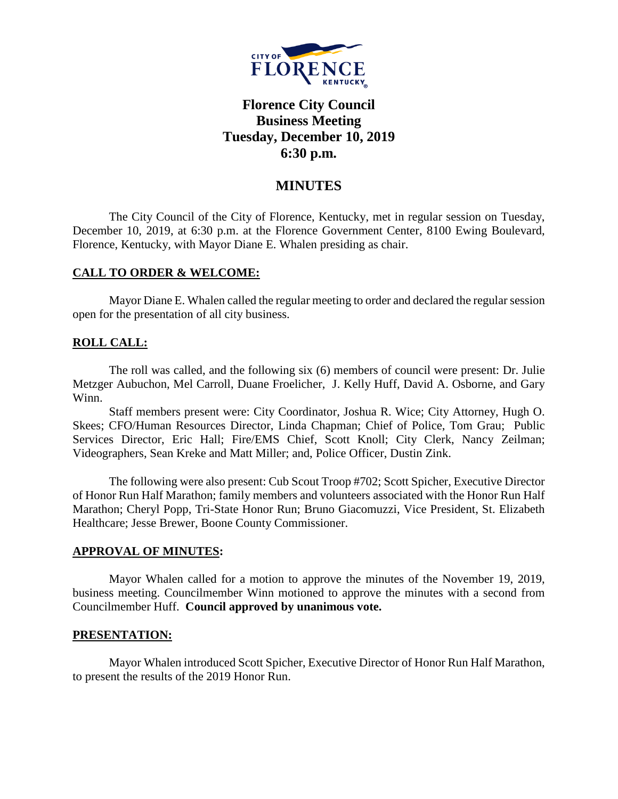

# **Florence City Council Business Meeting Tuesday, December 10, 2019 6:30 p.m.**

# **MINUTES**

The City Council of the City of Florence, Kentucky, met in regular session on Tuesday, December 10, 2019, at 6:30 p.m. at the Florence Government Center, 8100 Ewing Boulevard, Florence, Kentucky, with Mayor Diane E. Whalen presiding as chair.

### **CALL TO ORDER & WELCOME:**

Mayor Diane E. Whalen called the regular meeting to order and declared the regular session open for the presentation of all city business.

## **ROLL CALL:**

The roll was called, and the following six (6) members of council were present: Dr. Julie Metzger Aubuchon, Mel Carroll, Duane Froelicher, J. Kelly Huff, David A. Osborne, and Gary Winn.

Staff members present were: City Coordinator, Joshua R. Wice; City Attorney, Hugh O. Skees; CFO/Human Resources Director, Linda Chapman; Chief of Police, Tom Grau; Public Services Director, Eric Hall; Fire/EMS Chief, Scott Knoll; City Clerk, Nancy Zeilman; Videographers, Sean Kreke and Matt Miller; and, Police Officer, Dustin Zink.

The following were also present: Cub Scout Troop #702; Scott Spicher, Executive Director of Honor Run Half Marathon; family members and volunteers associated with the Honor Run Half Marathon; Cheryl Popp, Tri-State Honor Run; Bruno Giacomuzzi, Vice President, St. Elizabeth Healthcare; Jesse Brewer, Boone County Commissioner.

### **APPROVAL OF MINUTES:**

Mayor Whalen called for a motion to approve the minutes of the November 19, 2019, business meeting. Councilmember Winn motioned to approve the minutes with a second from Councilmember Huff. **Council approved by unanimous vote.**

### **PRESENTATION:**

Mayor Whalen introduced Scott Spicher, Executive Director of Honor Run Half Marathon, to present the results of the 2019 Honor Run.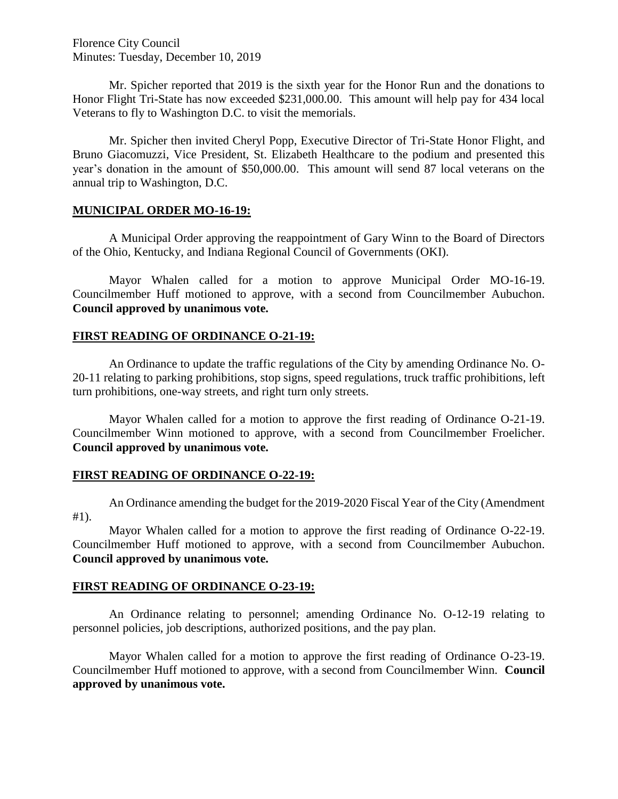Florence City Council Minutes: Tuesday, December 10, 2019

Mr. Spicher reported that 2019 is the sixth year for the Honor Run and the donations to Honor Flight Tri-State has now exceeded \$231,000.00. This amount will help pay for 434 local Veterans to fly to Washington D.C. to visit the memorials.

Mr. Spicher then invited Cheryl Popp, Executive Director of Tri-State Honor Flight, and Bruno Giacomuzzi, Vice President, St. Elizabeth Healthcare to the podium and presented this year's donation in the amount of \$50,000.00. This amount will send 87 local veterans on the annual trip to Washington, D.C.

### **MUNICIPAL ORDER MO-16-19:**

A Municipal Order approving the reappointment of Gary Winn to the Board of Directors of the Ohio, Kentucky, and Indiana Regional Council of Governments (OKI).

Mayor Whalen called for a motion to approve Municipal Order MO-16-19. Councilmember Huff motioned to approve, with a second from Councilmember Aubuchon. **Council approved by unanimous vote.**

#### **FIRST READING OF ORDINANCE O-21-19:**

An Ordinance to update the traffic regulations of the City by amending Ordinance No. O-20-11 relating to parking prohibitions, stop signs, speed regulations, truck traffic prohibitions, left turn prohibitions, one-way streets, and right turn only streets.

Mayor Whalen called for a motion to approve the first reading of Ordinance O-21-19. Councilmember Winn motioned to approve, with a second from Councilmember Froelicher. **Council approved by unanimous vote.**

#### **FIRST READING OF ORDINANCE O-22-19:**

An Ordinance amending the budget for the 2019-2020 Fiscal Year of the City (Amendment #1).

Mayor Whalen called for a motion to approve the first reading of Ordinance O-22-19. Councilmember Huff motioned to approve, with a second from Councilmember Aubuchon. **Council approved by unanimous vote.**

### **FIRST READING OF ORDINANCE O-23-19:**

An Ordinance relating to personnel; amending Ordinance No. O-12-19 relating to personnel policies, job descriptions, authorized positions, and the pay plan.

Mayor Whalen called for a motion to approve the first reading of Ordinance O-23-19. Councilmember Huff motioned to approve, with a second from Councilmember Winn. **Council approved by unanimous vote.**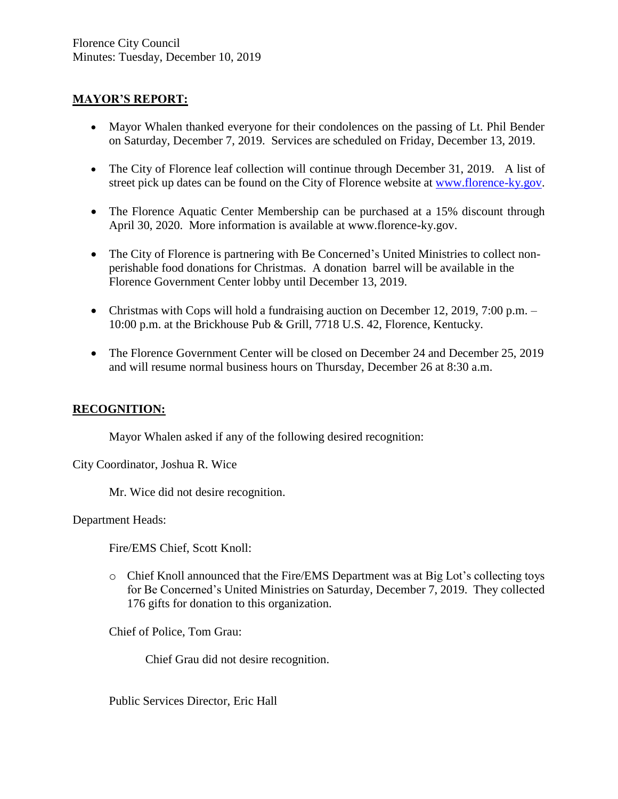# **MAYOR'S REPORT:**

- Mayor Whalen thanked everyone for their condolences on the passing of Lt. Phil Bender on Saturday, December 7, 2019. Services are scheduled on Friday, December 13, 2019.
- The City of Florence leaf collection will continue through December 31, 2019. A list of street pick up dates can be found on the City of Florence website at [www.florence-ky.gov.](http://www.florence-ky.gov/)
- The Florence Aquatic Center Membership can be purchased at a 15% discount through April 30, 2020. More information is available at www.florence-ky.gov.
- The City of Florence is partnering with Be Concerned's United Ministries to collect nonperishable food donations for Christmas. A donation barrel will be available in the Florence Government Center lobby until December 13, 2019.
- Christmas with Cops will hold a fundraising auction on December 12, 2019, 7:00 p.m. 10:00 p.m. at the Brickhouse Pub & Grill, 7718 U.S. 42, Florence, Kentucky.
- The Florence Government Center will be closed on December 24 and December 25, 2019 and will resume normal business hours on Thursday, December 26 at 8:30 a.m.

# **RECOGNITION:**

Mayor Whalen asked if any of the following desired recognition:

City Coordinator, Joshua R. Wice

Mr. Wice did not desire recognition.

Department Heads:

Fire/EMS Chief, Scott Knoll:

o Chief Knoll announced that the Fire/EMS Department was at Big Lot's collecting toys for Be Concerned's United Ministries on Saturday, December 7, 2019. They collected 176 gifts for donation to this organization.

Chief of Police, Tom Grau:

Chief Grau did not desire recognition.

Public Services Director, Eric Hall